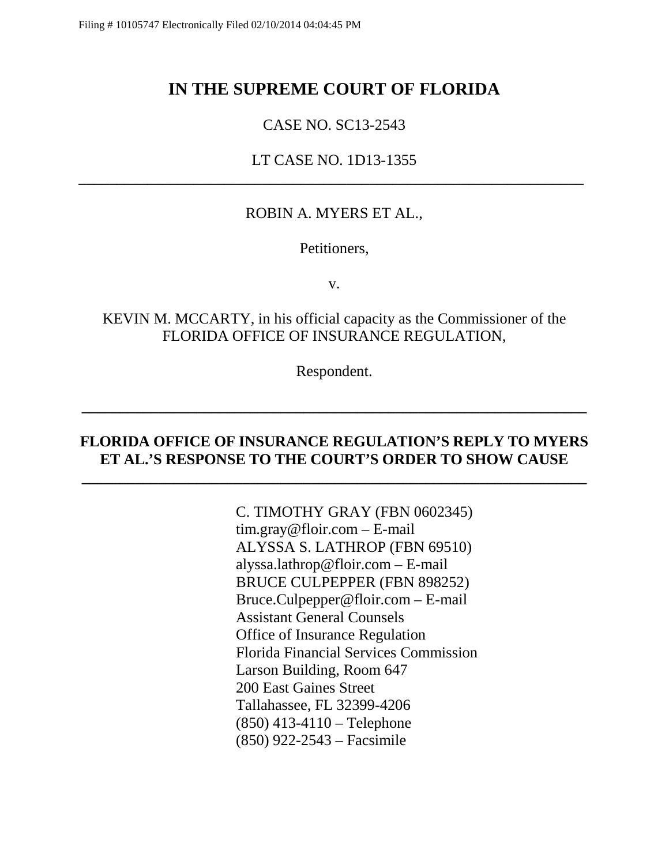# **IN THE SUPREME COURT OF FLORIDA**

## CASE NO. SC13-2543

## LT CASE NO. 1D13-1355 **\_\_\_\_\_\_\_\_\_\_\_\_\_\_\_\_\_\_\_\_\_\_\_\_\_\_\_\_\_\_\_\_\_\_\_\_\_\_\_\_\_\_\_\_\_\_\_\_\_\_\_\_\_\_\_\_\_\_\_\_\_\_\_\_\_\_**

### ROBIN A. MYERS ET AL.,

Petitioners,

v.

## KEVIN M. MCCARTY, in his official capacity as the Commissioner of the FLORIDA OFFICE OF INSURANCE REGULATION,

Respondent.

**\_\_\_\_\_\_\_\_\_\_\_\_\_\_\_\_\_\_\_\_\_\_\_\_\_\_\_\_\_\_\_\_\_\_\_\_\_\_\_\_\_\_\_\_\_\_\_\_\_\_\_\_\_\_\_\_\_\_\_\_\_\_\_\_\_\_**

### **FLORIDA OFFICE OF INSURANCE REGULATION'S REPLY TO MYERS ET AL.'S RESPONSE TO THE COURT'S ORDER TO SHOW CAUSE**

**\_\_\_\_\_\_\_\_\_\_\_\_\_\_\_\_\_\_\_\_\_\_\_\_\_\_\_\_\_\_\_\_\_\_\_\_\_\_\_\_\_\_\_\_\_\_\_\_\_\_\_\_\_\_\_\_\_\_\_\_\_\_\_\_\_\_**

C. TIMOTHY GRAY (FBN 0602345) tim.gray@floir.com – E-mail ALYSSA S. LATHROP (FBN 69510) alyssa.lathrop@floir.com – E-mail BRUCE CULPEPPER (FBN 898252) Bruce.Culpepper@floir.com – E-mail Assistant General Counsels Office of Insurance Regulation Florida Financial Services Commission Larson Building, Room 647 200 East Gaines Street Tallahassee, FL 32399-4206 (850) 413-4110 – Telephone (850) 922-2543 – Facsimile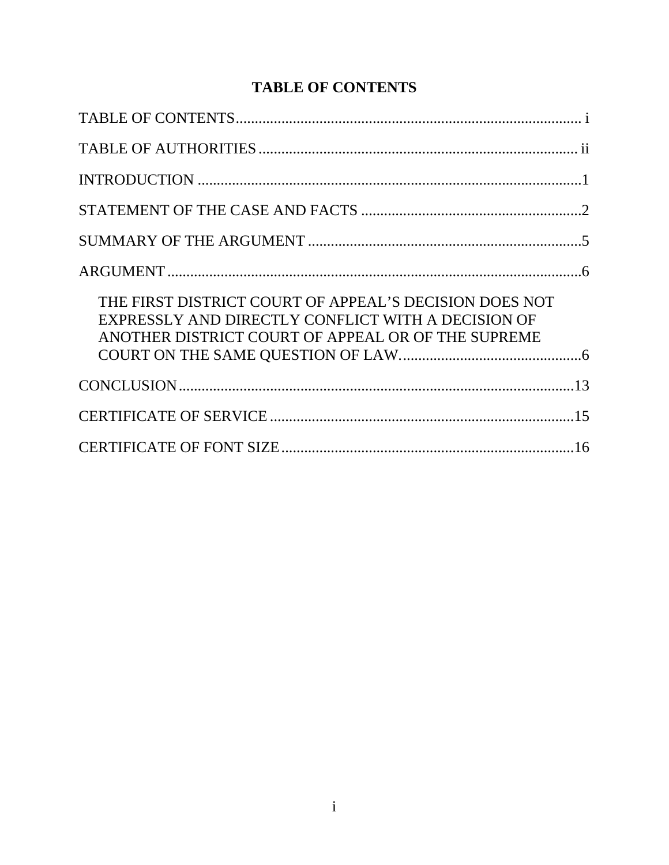# **TABLE OF CONTENTS**

<span id="page-1-0"></span>

| THE FIRST DISTRICT COURT OF APPEAL'S DECISION DOES NOT<br>EXPRESSLY AND DIRECTLY CONFLICT WITH A DECISION OF<br>ANOTHER DISTRICT COURT OF APPEAL OR OF THE SUPREME |  |
|--------------------------------------------------------------------------------------------------------------------------------------------------------------------|--|
|                                                                                                                                                                    |  |
|                                                                                                                                                                    |  |
|                                                                                                                                                                    |  |
|                                                                                                                                                                    |  |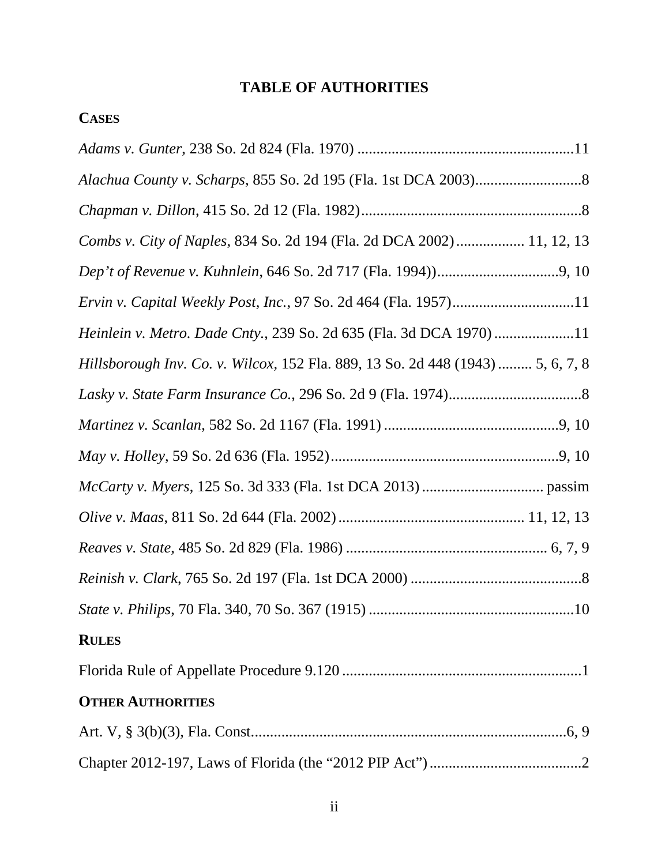# **TABLE OF AUTHORITIES**

# <span id="page-2-0"></span>**CASES**

| Combs v. City of Naples, 834 So. 2d 194 (Fla. 2d DCA 2002) 11, 12, 13           |
|---------------------------------------------------------------------------------|
|                                                                                 |
| Ervin v. Capital Weekly Post, Inc., 97 So. 2d 464 (Fla. 1957)11                 |
| Heinlein v. Metro. Dade Cnty., 239 So. 2d 635 (Fla. 3d DCA 1970)11              |
| Hillsborough Inv. Co. v. Wilcox, 152 Fla. 889, 13 So. 2d 448 (1943)  5, 6, 7, 8 |
|                                                                                 |
|                                                                                 |
|                                                                                 |
|                                                                                 |
|                                                                                 |
|                                                                                 |
|                                                                                 |
|                                                                                 |
| <b>RULES</b>                                                                    |
|                                                                                 |
| <b>OTHER AUTHORITIES</b>                                                        |
|                                                                                 |
|                                                                                 |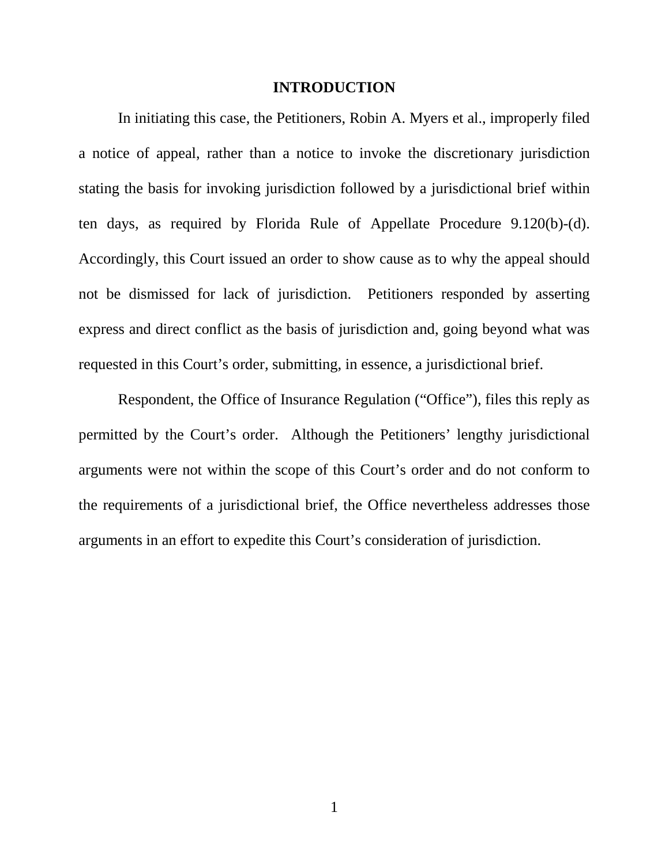#### **INTRODUCTION**

<span id="page-3-0"></span>In initiating this case, the Petitioners, Robin A. Myers et al., improperly filed a notice of appeal, rather than a notice to invoke the discretionary jurisdiction stating the basis for invoking jurisdiction followed by a jurisdictional brief within ten days, as required by Florida Rule of Appellate Procedure 9.120(b)-(d). Accordingly, this Court issued an order to show cause as to why the appeal should not be dismissed for lack of jurisdiction. Petitioners responded by asserting express and direct conflict as the basis of jurisdiction and, going beyond what was requested in this Court's order, submitting, in essence, a jurisdictional brief.

Respondent, the Office of Insurance Regulation ("Office"), files this reply as permitted by the Court's order. Although the Petitioners' lengthy jurisdictional arguments were not within the scope of this Court's order and do not conform to the requirements of a jurisdictional brief, the Office nevertheless addresses those arguments in an effort to expedite this Court's consideration of jurisdiction.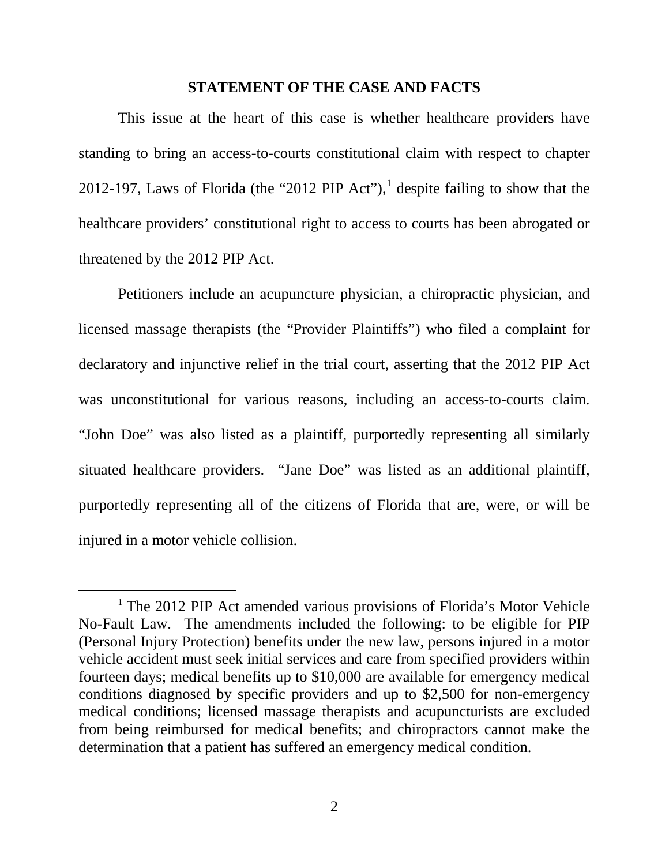#### **STATEMENT OF THE CASE AND FACTS**

<span id="page-4-0"></span>This issue at the heart of this case is whether healthcare providers have standing to bring an access-to-courts constitutional claim with respect to chapter 20[1](#page-4-1)2-197, Laws of Florida (the "2012 PIP Act"),<sup>1</sup> despite failing to show that the healthcare providers' constitutional right to access to courts has been abrogated or threatened by the 2012 PIP Act.

Petitioners include an acupuncture physician, a chiropractic physician, and licensed massage therapists (the "Provider Plaintiffs") who filed a complaint for declaratory and injunctive relief in the trial court, asserting that the 2012 PIP Act was unconstitutional for various reasons, including an access-to-courts claim. "John Doe" was also listed as a plaintiff, purportedly representing all similarly situated healthcare providers. "Jane Doe" was listed as an additional plaintiff, purportedly representing all of the citizens of Florida that are, were, or will be injured in a motor vehicle collision.

 $\overline{a}$ 

<span id="page-4-1"></span><sup>&</sup>lt;sup>1</sup> The 2012 PIP Act amended various provisions of Florida's Motor Vehicle No-Fault Law. The amendments included the following: to be eligible for PIP (Personal Injury Protection) benefits under the new law, persons injured in a motor vehicle accident must seek initial services and care from specified providers within fourteen days; medical benefits up to \$10,000 are available for emergency medical conditions diagnosed by specific providers and up to \$2,500 for non-emergency medical conditions; licensed massage therapists and acupuncturists are excluded from being reimbursed for medical benefits; and chiropractors cannot make the determination that a patient has suffered an emergency medical condition.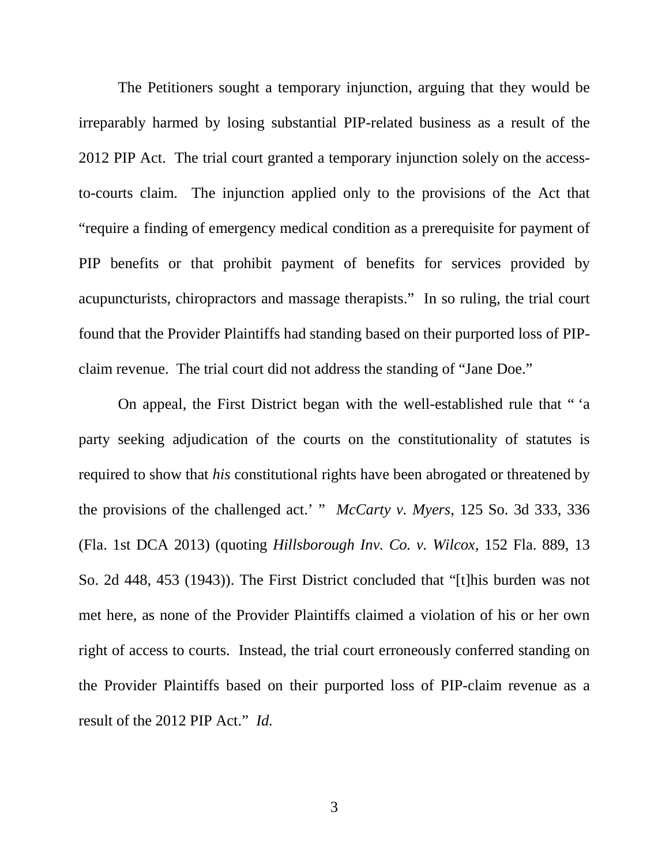The Petitioners sought a temporary injunction, arguing that they would be irreparably harmed by losing substantial PIP-related business as a result of the 2012 PIP Act. The trial court granted a temporary injunction solely on the accessto-courts claim. The injunction applied only to the provisions of the Act that "require a finding of emergency medical condition as a prerequisite for payment of PIP benefits or that prohibit payment of benefits for services provided by acupuncturists, chiropractors and massage therapists." In so ruling, the trial court found that the Provider Plaintiffs had standing based on their purported loss of PIPclaim revenue. The trial court did not address the standing of "Jane Doe."

On appeal, the First District began with the well-established rule that " 'a party seeking adjudication of the courts on the constitutionality of statutes is required to show that *his* constitutional rights have been abrogated or threatened by the provisions of the challenged act.' " *McCarty v. Myers*, 125 So. 3d 333, 336 (Fla. 1st DCA 2013) (quoting *Hillsborough Inv. Co. v. Wilcox,* 152 Fla. 889, 13 So. 2d 448, 453 (1943)). The First District concluded that "[t]his burden was not met here, as none of the Provider Plaintiffs claimed a violation of his or her own right of access to courts. Instead, the trial court erroneously conferred standing on the Provider Plaintiffs based on their purported loss of PIP-claim revenue as a result of the 2012 PIP Act." *Id.*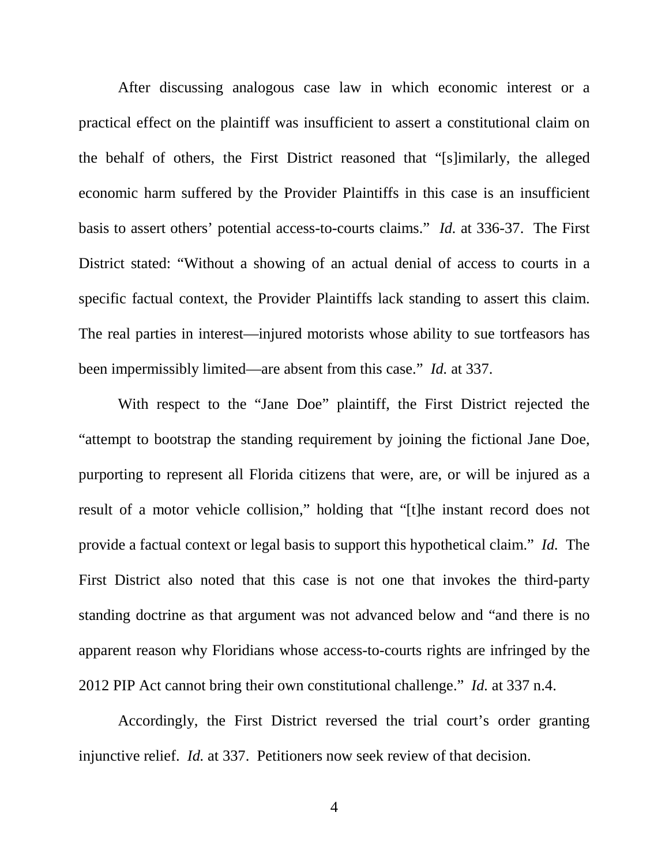After discussing analogous case law in which economic interest or a practical effect on the plaintiff was insufficient to assert a constitutional claim on the behalf of others, the First District reasoned that "[s]imilarly, the alleged economic harm suffered by the Provider Plaintiffs in this case is an insufficient basis to assert others' potential access-to-courts claims." *Id.* at 336-37. The First District stated: "Without a showing of an actual denial of access to courts in a specific factual context, the Provider Plaintiffs lack standing to assert this claim. The real parties in interest—injured motorists whose ability to sue tortfeasors has been impermissibly limited—are absent from this case." *Id.* at 337.

With respect to the "Jane Doe" plaintiff, the First District rejected the "attempt to bootstrap the standing requirement by joining the fictional Jane Doe, purporting to represent all Florida citizens that were, are, or will be injured as a result of a motor vehicle collision," holding that "[t]he instant record does not provide a factual context or legal basis to support this hypothetical claim." *Id.* The First District also noted that this case is not one that invokes the third-party standing doctrine as that argument was not advanced below and "and there is no apparent reason why Floridians whose access-to-courts rights are infringed by the 2012 PIP Act cannot bring their own constitutional challenge." *Id.* at 337 n.4.

Accordingly, the First District reversed the trial court's order granting injunctive relief. *Id.* at 337. Petitioners now seek review of that decision.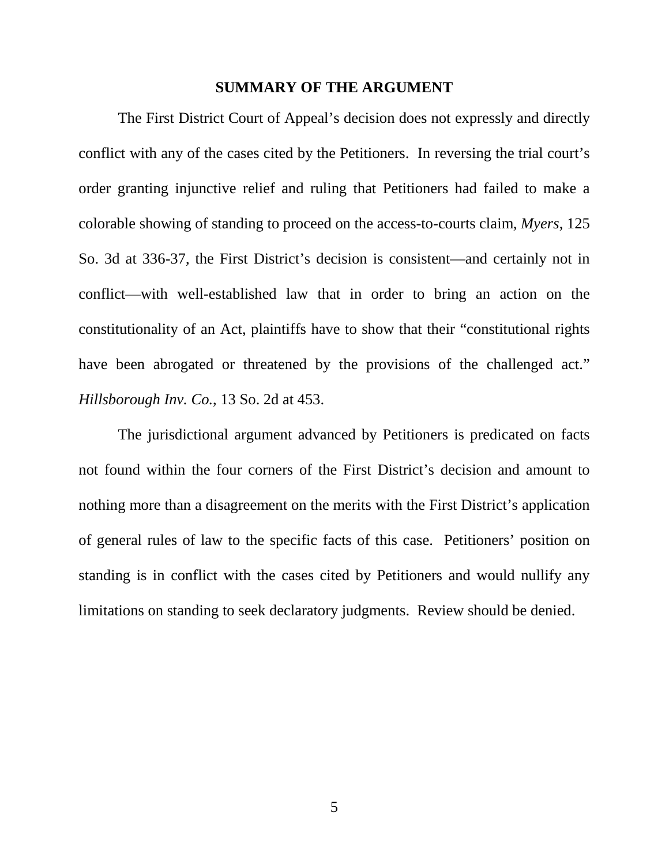#### **SUMMARY OF THE ARGUMENT**

<span id="page-7-0"></span>The First District Court of Appeal's decision does not expressly and directly conflict with any of the cases cited by the Petitioners. In reversing the trial court's order granting injunctive relief and ruling that Petitioners had failed to make a colorable showing of standing to proceed on the access-to-courts claim, *Myers*, 125 So. 3d at 336-37, the First District's decision is consistent—and certainly not in conflict—with well-established law that in order to bring an action on the constitutionality of an Act, plaintiffs have to show that their "constitutional rights have been abrogated or threatened by the provisions of the challenged act." *Hillsborough Inv. Co.*, 13 So. 2d at 453.

The jurisdictional argument advanced by Petitioners is predicated on facts not found within the four corners of the First District's decision and amount to nothing more than a disagreement on the merits with the First District's application of general rules of law to the specific facts of this case. Petitioners' position on standing is in conflict with the cases cited by Petitioners and would nullify any limitations on standing to seek declaratory judgments. Review should be denied.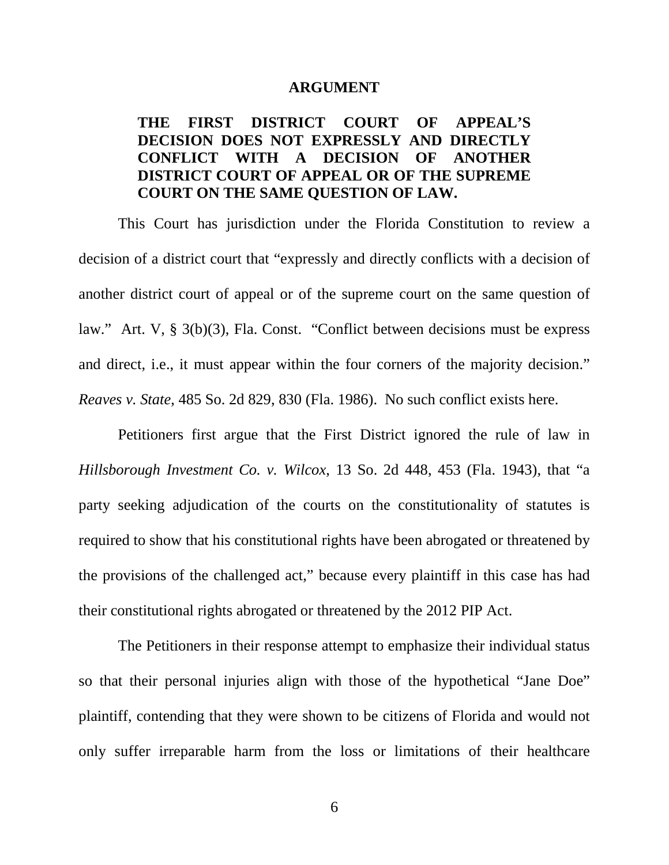#### **ARGUMENT**

## <span id="page-8-1"></span><span id="page-8-0"></span>**THE FIRST DISTRICT COURT OF APPEAL'S DECISION DOES NOT EXPRESSLY AND DIRECTLY CONFLICT WITH A DECISION OF ANOTHER DISTRICT COURT OF APPEAL OR OF THE SUPREME COURT ON THE SAME QUESTION OF LAW.**

This Court has jurisdiction under the Florida Constitution to review a decision of a district court that "expressly and directly conflicts with a decision of another district court of appeal or of the supreme court on the same question of law." Art. V, § 3(b)(3), Fla. Const. "Conflict between decisions must be express and direct, i.e., it must appear within the four corners of the majority decision." *Reaves v. State*, 485 So. 2d 829, 830 (Fla. 1986). No such conflict exists here.

Petitioners first argue that the First District ignored the rule of law in *Hillsborough Investment Co. v. Wilcox*, 13 So. 2d 448, 453 (Fla. 1943), that "a party seeking adjudication of the courts on the constitutionality of statutes is required to show that his constitutional rights have been abrogated or threatened by the provisions of the challenged act," because every plaintiff in this case has had their constitutional rights abrogated or threatened by the 2012 PIP Act.

The Petitioners in their response attempt to emphasize their individual status so that their personal injuries align with those of the hypothetical "Jane Doe" plaintiff, contending that they were shown to be citizens of Florida and would not only suffer irreparable harm from the loss or limitations of their healthcare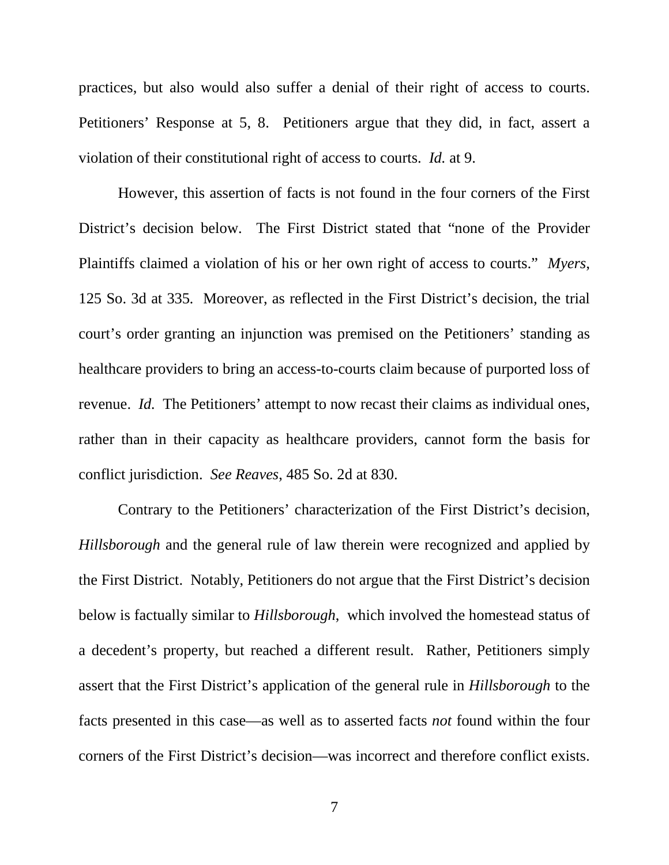practices, but also would also suffer a denial of their right of access to courts. Petitioners' Response at 5, 8. Petitioners argue that they did, in fact, assert a violation of their constitutional right of access to courts. *Id.* at 9.

However, this assertion of facts is not found in the four corners of the First District's decision below. The First District stated that "none of the Provider Plaintiffs claimed a violation of his or her own right of access to courts." *Myers*, 125 So. 3d at 335*.* Moreover, as reflected in the First District's decision, the trial court's order granting an injunction was premised on the Petitioners' standing as healthcare providers to bring an access-to-courts claim because of purported loss of revenue. *Id.* The Petitioners' attempt to now recast their claims as individual ones, rather than in their capacity as healthcare providers, cannot form the basis for conflict jurisdiction. *See Reaves*, 485 So. 2d at 830.

Contrary to the Petitioners' characterization of the First District's decision, *Hillsborough* and the general rule of law therein were recognized and applied by the First District. Notably, Petitioners do not argue that the First District's decision below is factually similar to *Hillsborough*, which involved the homestead status of a decedent's property, but reached a different result. Rather, Petitioners simply assert that the First District's application of the general rule in *Hillsborough* to the facts presented in this case—as well as to asserted facts *not* found within the four corners of the First District's decision—was incorrect and therefore conflict exists.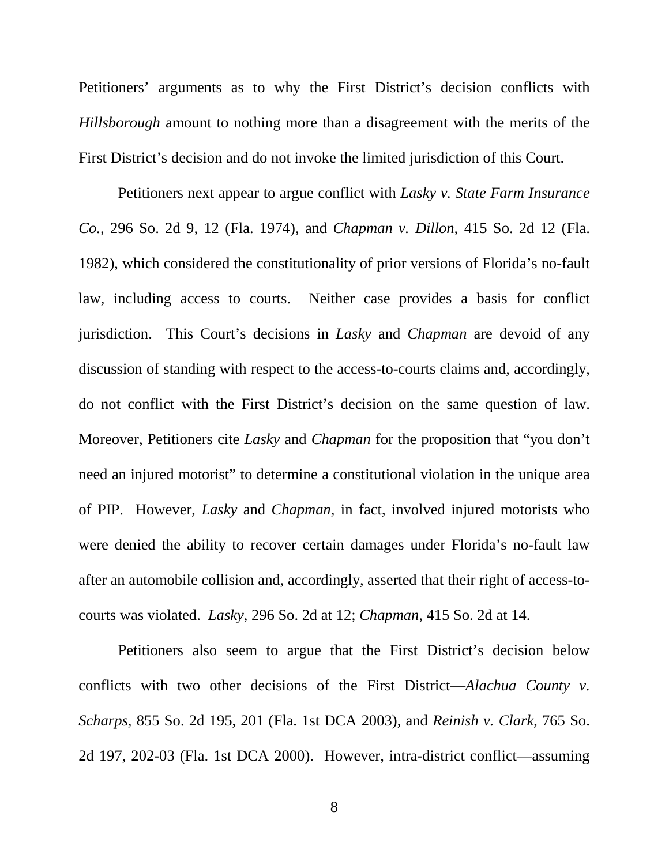Petitioners' arguments as to why the First District's decision conflicts with *Hillsborough* amount to nothing more than a disagreement with the merits of the First District's decision and do not invoke the limited jurisdiction of this Court.

Petitioners next appear to argue conflict with *Lasky v. State Farm Insurance Co.*, 296 So. 2d 9, 12 (Fla. 1974), and *Chapman v. Dillon*, 415 So. 2d 12 (Fla. 1982), which considered the constitutionality of prior versions of Florida's no-fault law, including access to courts. Neither case provides a basis for conflict jurisdiction. This Court's decisions in *Lasky* and *Chapman* are devoid of any discussion of standing with respect to the access-to-courts claims and, accordingly, do not conflict with the First District's decision on the same question of law. Moreover, Petitioners cite *Lasky* and *Chapman* for the proposition that "you don't need an injured motorist" to determine a constitutional violation in the unique area of PIP. However, *Lasky* and *Chapman*, in fact, involved injured motorists who were denied the ability to recover certain damages under Florida's no-fault law after an automobile collision and, accordingly, asserted that their right of access-tocourts was violated. *Lasky*, 296 So. 2d at 12; *Chapman*, 415 So. 2d at 14.

Petitioners also seem to argue that the First District's decision below conflicts with two other decisions of the First District—*Alachua County v. Scharps*, 855 So. 2d 195, 201 (Fla. 1st DCA 2003), and *Reinish v. Clark*, 765 So. 2d 197, 202-03 (Fla. 1st DCA 2000). However, intra-district conflict—assuming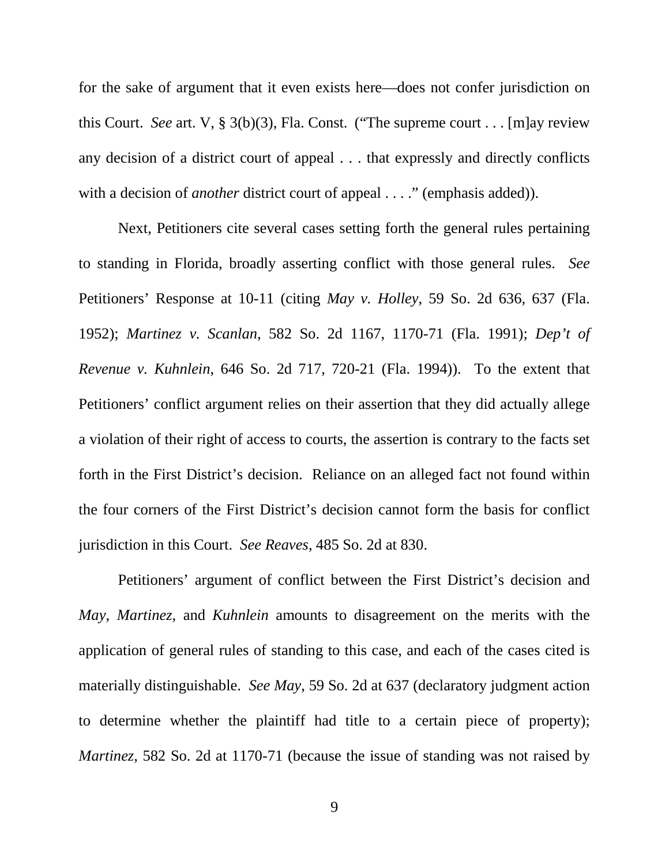for the sake of argument that it even exists here—does not confer jurisdiction on this Court. *See* art. V, § 3(b)(3), Fla. Const. ("The supreme court . . . [m]ay review any decision of a district court of appeal . . . that expressly and directly conflicts with a decision of *another* district court of appeal . . . ." (emphasis added)).

Next, Petitioners cite several cases setting forth the general rules pertaining to standing in Florida, broadly asserting conflict with those general rules. *See* Petitioners' Response at 10-11 (citing *May v. Holley*, 59 So. 2d 636, 637 (Fla. 1952); *Martinez v. Scanlan*, 582 So. 2d 1167, 1170-71 (Fla. 1991); *Dep't of Revenue v. Kuhnlein*, 646 So. 2d 717, 720-21 (Fla. 1994)). To the extent that Petitioners' conflict argument relies on their assertion that they did actually allege a violation of their right of access to courts, the assertion is contrary to the facts set forth in the First District's decision. Reliance on an alleged fact not found within the four corners of the First District's decision cannot form the basis for conflict jurisdiction in this Court. *See Reaves*, 485 So. 2d at 830.

Petitioners' argument of conflict between the First District's decision and *May*, *Martinez*, and *Kuhnlein* amounts to disagreement on the merits with the application of general rules of standing to this case, and each of the cases cited is materially distinguishable. *See May*, 59 So. 2d at 637 (declaratory judgment action to determine whether the plaintiff had title to a certain piece of property); *Martinez*, 582 So. 2d at 1170-71 (because the issue of standing was not raised by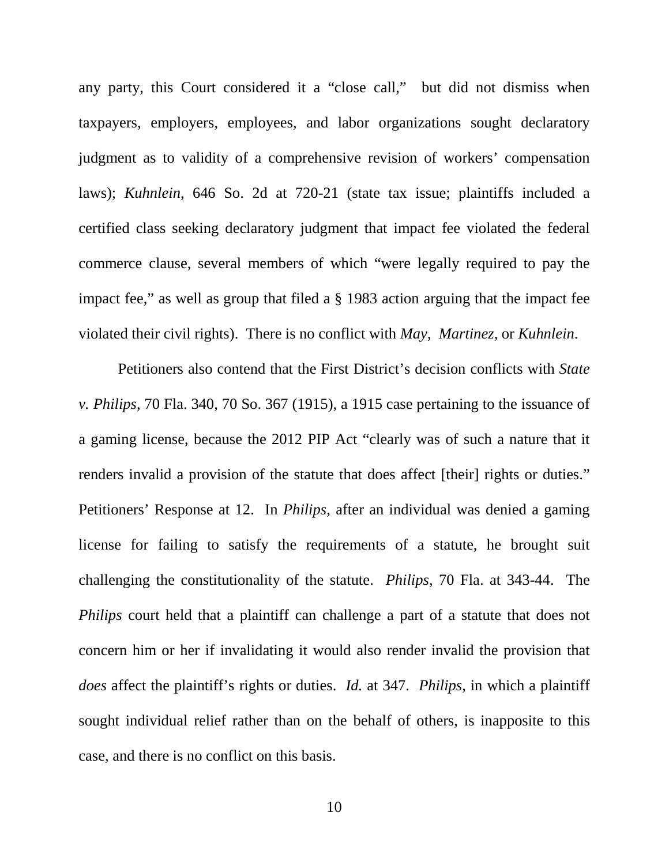any party, this Court considered it a "close call," but did not dismiss when taxpayers, employers, employees, and labor organizations sought declaratory judgment as to validity of a comprehensive revision of workers' compensation laws); *Kuhnlein*, 646 So. 2d at 720-21 (state tax issue; plaintiffs included a certified class seeking declaratory judgment that impact fee violated the federal commerce clause, several members of which "were legally required to pay the impact fee," as well as group that filed a § 1983 action arguing that the impact fee violated their civil rights). There is no conflict with *May*, *Martinez*, or *Kuhnlein*.

Petitioners also contend that the First District's decision conflicts with *State v. Philips*, 70 Fla. 340, 70 So. 367 (1915), a 1915 case pertaining to the issuance of a gaming license, because the 2012 PIP Act "clearly was of such a nature that it renders invalid a provision of the statute that does affect [their] rights or duties." Petitioners' Response at 12. In *Philips*, after an individual was denied a gaming license for failing to satisfy the requirements of a statute, he brought suit challenging the constitutionality of the statute. *Philips*, 70 Fla. at 343-44. The *Philips* court held that a plaintiff can challenge a part of a statute that does not concern him or her if invalidating it would also render invalid the provision that *does* affect the plaintiff's rights or duties. *Id.* at 347. *Philips*, in which a plaintiff sought individual relief rather than on the behalf of others, is inapposite to this case, and there is no conflict on this basis.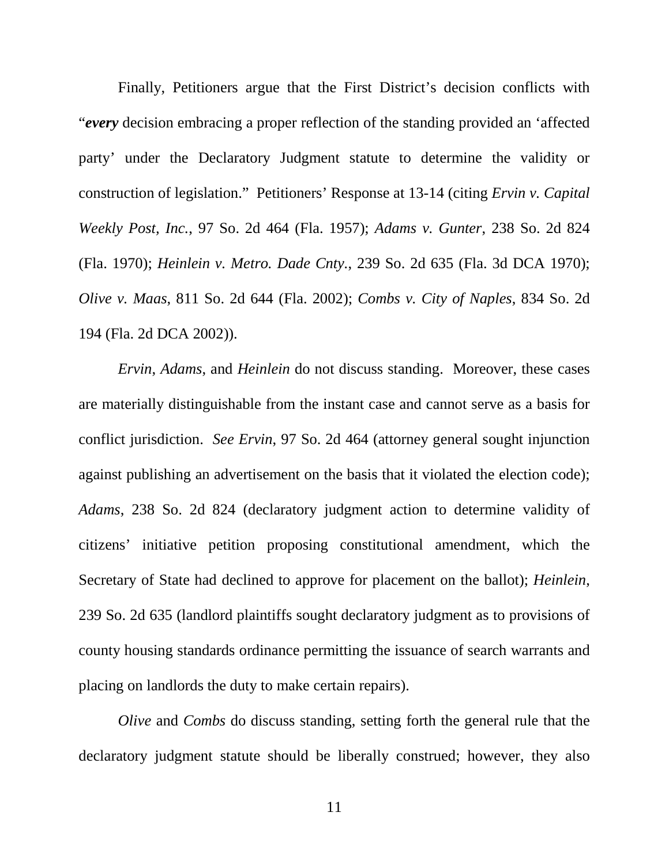Finally, Petitioners argue that the First District's decision conflicts with "*every* decision embracing a proper reflection of the standing provided an 'affected party' under the Declaratory Judgment statute to determine the validity or construction of legislation." Petitioners' Response at 13-14 (citing *Ervin v. Capital Weekly Post, Inc.*, 97 So. 2d 464 (Fla. 1957); *Adams v. Gunter*, 238 So. 2d 824 (Fla. 1970); *Heinlein v. Metro. Dade Cnty.*, 239 So. 2d 635 (Fla. 3d DCA 1970); *Olive v. Maas*, 811 So. 2d 644 (Fla. 2002); *Combs v. City of Naples*, 834 So. 2d 194 (Fla. 2d DCA 2002)).

*Ervin*, *Adams*, and *Heinlein* do not discuss standing. Moreover, these cases are materially distinguishable from the instant case and cannot serve as a basis for conflict jurisdiction. *See Ervin*, 97 So. 2d 464 (attorney general sought injunction against publishing an advertisement on the basis that it violated the election code); *Adams*, 238 So. 2d 824 (declaratory judgment action to determine validity of citizens' initiative petition proposing constitutional amendment, which the Secretary of State had declined to approve for placement on the ballot); *Heinlein*, 239 So. 2d 635 (landlord plaintiffs sought declaratory judgment as to provisions of county housing standards ordinance permitting the issuance of search warrants and placing on landlords the duty to make certain repairs).

*Olive* and *Combs* do discuss standing, setting forth the general rule that the declaratory judgment statute should be liberally construed; however, they also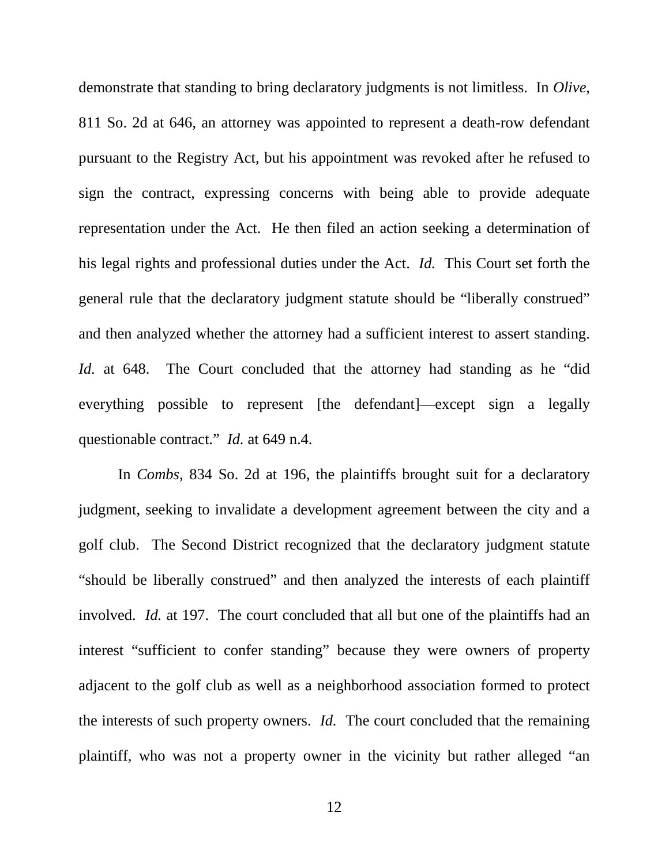demonstrate that standing to bring declaratory judgments is not limitless. In *Olive*, 811 So. 2d at 646, an attorney was appointed to represent a death-row defendant pursuant to the Registry Act, but his appointment was revoked after he refused to sign the contract, expressing concerns with being able to provide adequate representation under the Act. He then filed an action seeking a determination of his legal rights and professional duties under the Act. *Id.* This Court set forth the general rule that the declaratory judgment statute should be "liberally construed" and then analyzed whether the attorney had a sufficient interest to assert standing. *Id.* at 648. The Court concluded that the attorney had standing as he "did" everything possible to represent [the defendant]—except sign a legally questionable contract." *Id.* at 649 n.4.

In *Combs*, 834 So. 2d at 196, the plaintiffs brought suit for a declaratory judgment, seeking to invalidate a development agreement between the city and a golf club. The Second District recognized that the declaratory judgment statute "should be liberally construed" and then analyzed the interests of each plaintiff involved. *Id.* at 197. The court concluded that all but one of the plaintiffs had an interest "sufficient to confer standing" because they were owners of property adjacent to the golf club as well as a neighborhood association formed to protect the interests of such property owners. *Id.* The court concluded that the remaining plaintiff, who was not a property owner in the vicinity but rather alleged "an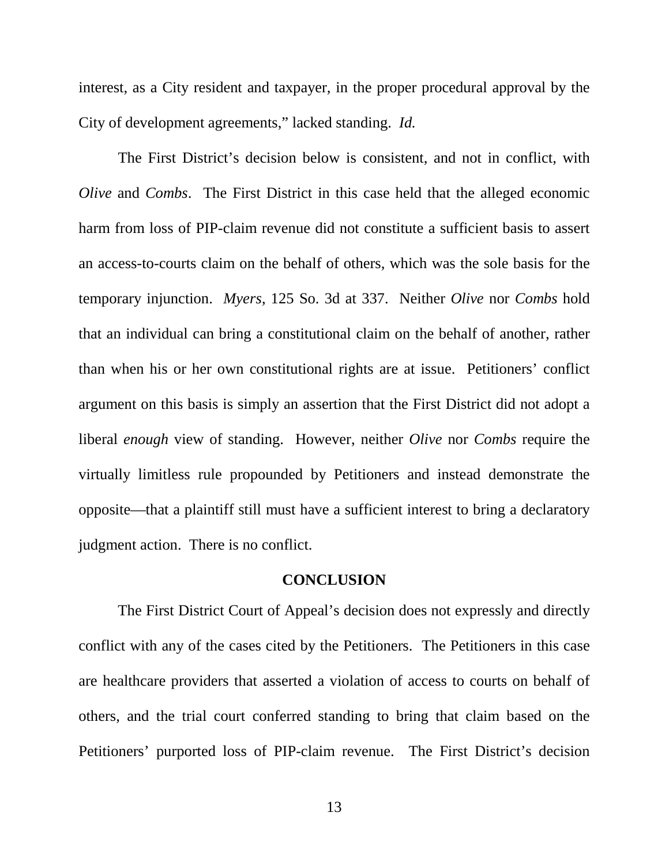interest, as a City resident and taxpayer, in the proper procedural approval by the City of development agreements," lacked standing. *Id.*

The First District's decision below is consistent, and not in conflict, with *Olive* and *Combs*. The First District in this case held that the alleged economic harm from loss of PIP-claim revenue did not constitute a sufficient basis to assert an access-to-courts claim on the behalf of others, which was the sole basis for the temporary injunction. *Myers*, 125 So. 3d at 337. Neither *Olive* nor *Combs* hold that an individual can bring a constitutional claim on the behalf of another, rather than when his or her own constitutional rights are at issue. Petitioners' conflict argument on this basis is simply an assertion that the First District did not adopt a liberal *enough* view of standing. However, neither *Olive* nor *Combs* require the virtually limitless rule propounded by Petitioners and instead demonstrate the opposite—that a plaintiff still must have a sufficient interest to bring a declaratory judgment action. There is no conflict.

#### **CONCLUSION**

<span id="page-15-0"></span>The First District Court of Appeal's decision does not expressly and directly conflict with any of the cases cited by the Petitioners. The Petitioners in this case are healthcare providers that asserted a violation of access to courts on behalf of others, and the trial court conferred standing to bring that claim based on the Petitioners' purported loss of PIP-claim revenue. The First District's decision

13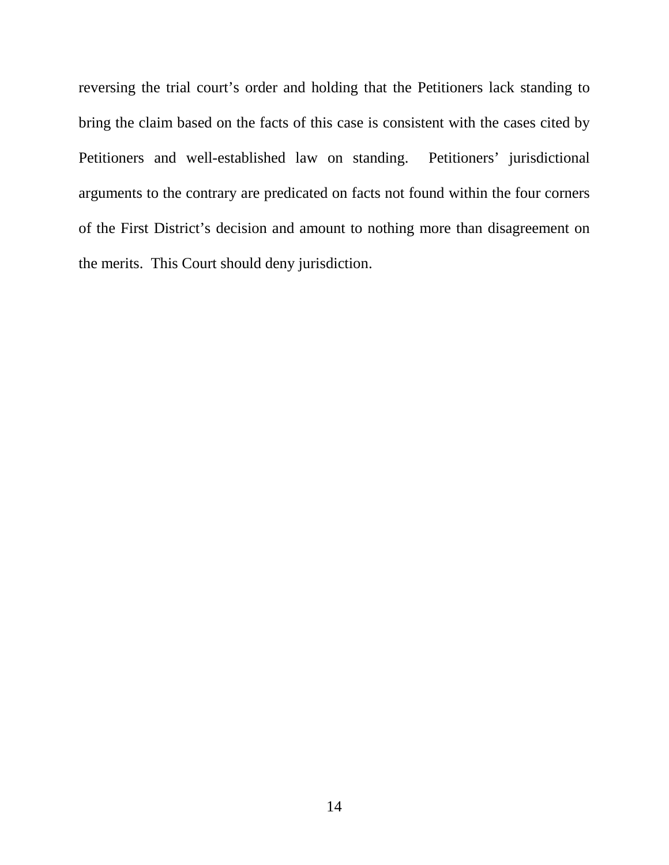reversing the trial court's order and holding that the Petitioners lack standing to bring the claim based on the facts of this case is consistent with the cases cited by Petitioners and well-established law on standing. Petitioners' jurisdictional arguments to the contrary are predicated on facts not found within the four corners of the First District's decision and amount to nothing more than disagreement on the merits. This Court should deny jurisdiction.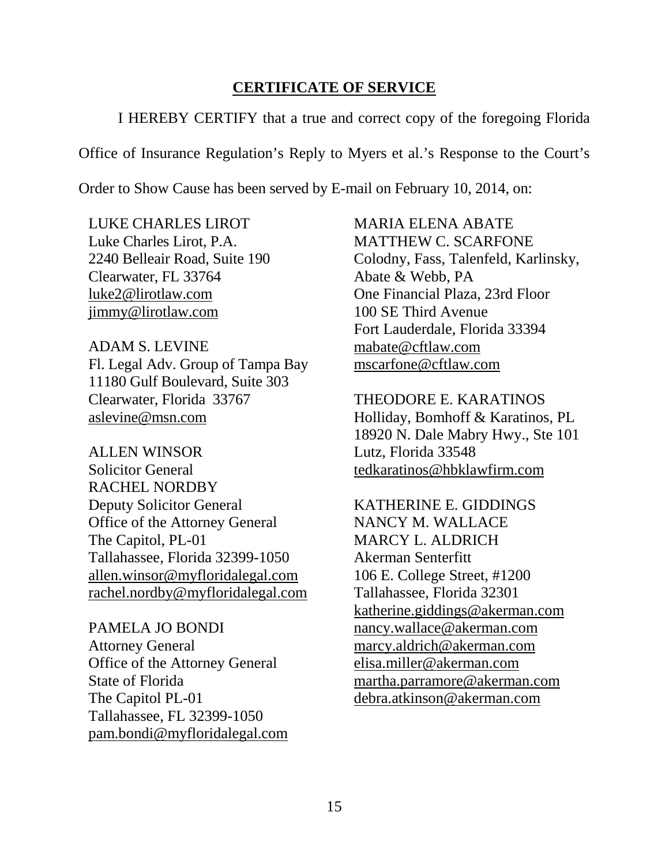### **CERTIFICATE OF SERVICE**

<span id="page-17-0"></span>I HEREBY CERTIFY that a true and correct copy of the foregoing Florida

Office of Insurance Regulation's Reply to Myers et al.'s Response to the Court's

Order to Show Cause has been served by E-mail on February 10, 2014, on:

LUKE CHARLES LIROT Luke Charles Lirot, P.A. 2240 Belleair Road, Suite 190 Clearwater, FL 33764 [luke2@lirotlaw.com](mailto:luke2@lirotlaw.com) [jimmy@lirotlaw.com](mailto:jimmy@lirotlaw.com)

ADAM S. LEVINE Fl. Legal Adv. Group of Tampa Bay 11180 Gulf Boulevard, Suite 303 Clearwater, Florida 33767 [aslevine@msn.com](mailto:aslevine@msn.com)

ALLEN WINSOR Solicitor General RACHEL NORDBY Deputy Solicitor General Office of the Attorney General The Capitol, PL-01 Tallahassee, Florida 32399-1050 [allen.winsor@myfloridalegal.com](mailto:allen.winsor@myfloridalegal.com) [rachel.nordby@myfloridalegal.com](mailto:rachel.nordby@myfloridalegal.com)

PAMELA JO BONDI Attorney General Office of the Attorney General State of Florida The Capitol PL-01 Tallahassee, FL 32399-1050 [pam.bondi@myfloridalegal.com](mailto:pam.bondi@myfloridalegal.com)

MARIA ELENA ABATE MATTHEW C. SCARFONE Colodny, Fass, Talenfeld, Karlinsky, Abate & Webb, PA One Financial Plaza, 23rd Floor 100 SE Third Avenue Fort Lauderdale, Florida 33394 [mabate@cftlaw.com](mailto:mabate@cftlaw.com) [mscarfone@cftlaw.com](mailto:mscarfone@cftlaw.com)

THEODORE E. KARATINOS Holliday, Bomhoff & Karatinos, PL 18920 N. Dale Mabry Hwy., Ste 101 Lutz, Florida 33548 [tedkaratinos@hbklawfirm.com](mailto:tedkaratinos@hbklawfirm.com)

KATHERINE E. GIDDINGS NANCY M. WALLACE MARCY L. ALDRICH Akerman Senterfitt 106 E. College Street, #1200 Tallahassee, Florida 32301 [katherine.giddings@akerman.com](mailto:katherine.giddings@akerman.com)  [nancy.wallace@akerman.com](mailto:nancy.wallace@akerman.com)  [marcy.aldrich@akerman.com](mailto:marcy.aldrich@akerman.com) [elisa.miller@akerman.com](mailto:elisa.miller@akerman.com)  [martha.parramore@akerman.com](mailto:martha.parramore@akerman.com)  [debra.atkinson@akerman.com](mailto:debra.atkinson@akerman.com)